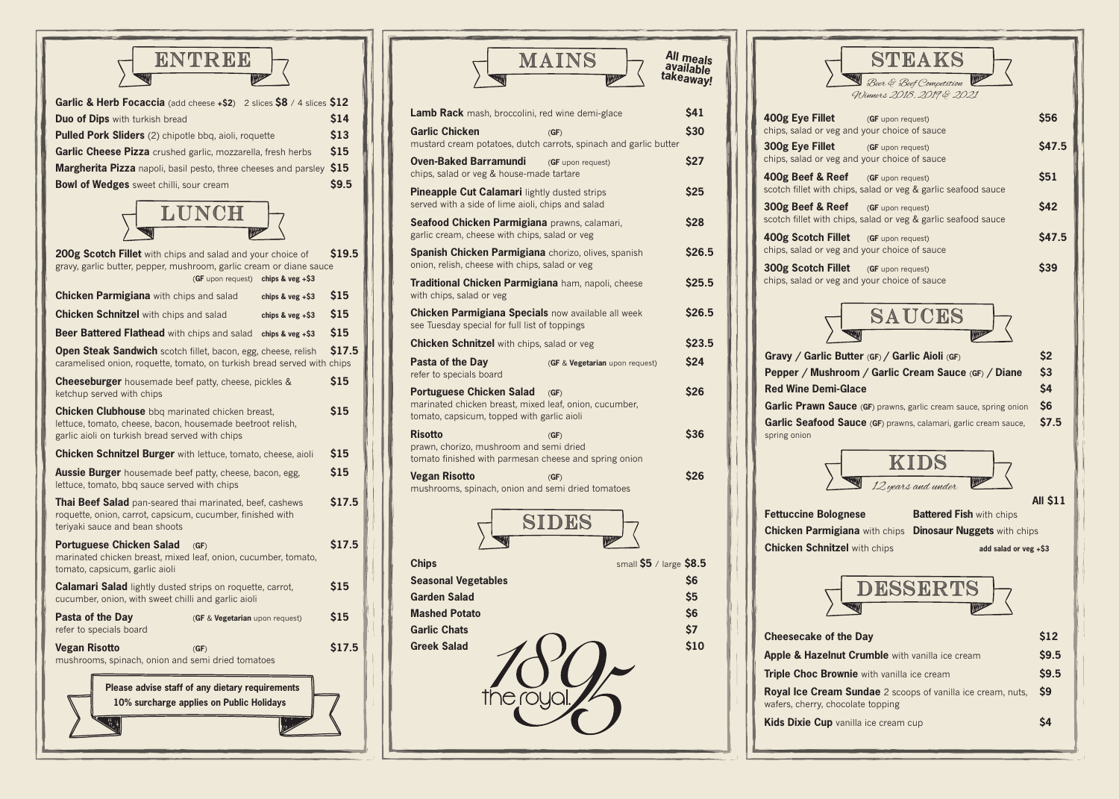**Chips** small **\$5** / large **\$8.5 Seasonal Vegetables** \$6 **Garden Salad** \$5 **Mashed Potato \$6** Garlic Chats **\$7** Greek Salad **610** \$10

|  | $\parallel$ |  |
|--|-------------|--|
|  |             |  |
|  |             |  |
|  |             |  |
|  |             |  |

**400g Eye Fill** chips, salad or **300g Eye Fill** chips, salad or

**400g Beef &** scotch fillet with

**300g Beef &** scotch fillet with

**400g Scotch** chips, salad or

SIDES

**300g Scotch Fillet** (**GF** upon request) **\$39** chips, salad or

 $G$ **Fravy** / Garlic **Pepper / Mushroom / Garlic Cream Sauce** (**GF**) **/ Diane \$3 Red Wine Dem Garlic Prawn Garlic Seafod** spring onion

**Fettuccine Bo Chicken Parr Chicken Schr** 

**Cheesecake Apple & Haze Triple Choc B Royal Ice Cre** wafers, cherry, **Kids Dixie Cu** 

| ENTREE<br>W<br>WWW                                                                                                                                                           |               |
|------------------------------------------------------------------------------------------------------------------------------------------------------------------------------|---------------|
| Garlic & Herb Focaccia (add cheese +\$2) 2 slices \$8 / 4 slices \$12                                                                                                        |               |
| <b>Duo of Dips</b> with turkish bread                                                                                                                                        | \$14          |
| Pulled Pork Sliders (2) chipotle bbq, aioli, roquette                                                                                                                        | \$13          |
| Garlic Cheese Pizza crushed garlic, mozzarella, fresh herbs                                                                                                                  | \$15          |
| <b>Margherita Pizza</b> napoli, basil pesto, three cheeses and parsley                                                                                                       | \$15          |
| <b>Bowl of Wedges</b> sweet chilli, sour cream                                                                                                                               | \$9.5         |
| LUNCH<br>WWW                                                                                                                                                                 |               |
| 200g Scotch Fillet with chips and salad and your choice of<br>gravy, garlic butter, pepper, mushroom, garlic cream or diane sauce<br>chips & $veg + $3$<br>(GF upon request) | \$19.5        |
| <b>Chicken Parmigiana</b> with chips and salad<br>chips & $veg + $3$                                                                                                         | \$15          |
| <b>Chicken Schnitzel</b> with chips and salad<br>chips & $veg + $3$                                                                                                          | \$15          |
| Beer Battered Flathead with chips and salad<br>chips & $veg + $3$                                                                                                            | \$15          |
| <b>Open Steak Sandwich</b> scotch fillet, bacon, egg, cheese, relish<br>caramelised onion, roquette, tomato, on turkish bread served with chips                              | \$17.5        |
| <b>Cheeseburger</b> housemade beef patty, cheese, pickles &<br>ketchup served with chips                                                                                     | \$15          |
| Chicken Clubhouse bbq marinated chicken breast,<br>lettuce, tomato, cheese, bacon, housemade beetroot relish,<br>garlic aioli on turkish bread served with chips             | <b>\$15</b>   |
| <b>Chicken Schnitzel Burger</b> with lettuce, tomato, cheese, aioli                                                                                                          | \$15          |
| Aussie Burger housemade beef patty, cheese, bacon, egg,<br>lettuce, tomato, bbq sauce served with chips                                                                      | \$15          |
| Thai Beef Salad pan-seared thai marinated, beef, cashews<br>roquette, onion, carrot, capsicum, cucumber, finished with<br>teriyaki sauce and bean shoots                     | \$17.5        |
| <b>Portuguese Chicken Salad</b><br>(GF)<br>marinated chicken breast, mixed leaf, onion, cucumber, tomato,<br>tomato, capsicum, garlic aioli                                  | \$17.5        |
| <b>Calamari Salad</b> lightly dusted strips on roquette, carrot,<br>cucumber, onion, with sweet chilli and garlic aioli                                                      | \$15          |
| Pasta of the Day<br>(GF & Vegetarian upon request)<br>refer to specials board                                                                                                | \$15          |
| <b>Vegan Risotto</b><br>(GF)<br>mushrooms, spinach, onion and semi dried tomatoes                                                                                            | <b>\$17.5</b> |
| Please advise staff of any dietary requirements<br>10% surcharge applies on Public Holidays<br><b>AND THE REAL PROPERTY</b>                                                  |               |

**Vegan Risotto** (**GF**) **\$26**

mushrooms, spinach, onion and semi dried tomatoes



| <b>STEAKS</b><br>Beer & Beef Competition<br><b>WWW</b>                           |                 |
|----------------------------------------------------------------------------------|-----------------|
| Winners 2018, 2019 & 2021<br>et<br>(GF upon request)                             | \$56            |
| veg and your choice of sauce                                                     |                 |
| et<br>(GF upon request)<br>veg and your choice of sauce                          | \$47.5          |
| <b>Reef</b><br>(GF upon request)                                                 | \$51            |
| h chips, salad or veg & garlic seafood sauce                                     |                 |
| <b>Reef</b><br>(GF upon request)<br>h chips, salad or veg & garlic seafood sauce | <b>\$42</b>     |
| <b>Fillet</b><br>(GF upon request)                                               | <b>\$47.5</b>   |
| veg and your choice of sauce<br><b>Fillet</b><br>(GF upon request)               | \$39            |
| veg and your choice of sauce                                                     |                 |
|                                                                                  |                 |
| SAUCES<br>WWW                                                                    |                 |
|                                                                                  | \$2             |
|                                                                                  |                 |
| ic Butter (GF) / Garlic Aioli (GF)<br>shroom / Garlic Cream Sauce (GF) / Diane   | \$3             |
| mi-Glace                                                                         | \$4             |
| <b>Sauce</b> (GF) prawns, garlic cream sauce, spring onion                       | \$6             |
| od Sauce (GF) prawns, calamari, garlic cream sauce,                              | \$7.5           |
|                                                                                  |                 |
| KIDS                                                                             |                 |
| <b>MARKET</b><br><b>WARREN</b><br>12 years and under                             | <b>All \$11</b> |
| <b>Battered Fish with chips</b><br>olognese                                      |                 |
| nigiana with chips  Dinosaur Nuggets with chips                                  |                 |
| nitzel with chips<br>add salad or veg +\$3                                       |                 |
|                                                                                  |                 |
| DESSERTS<br><b>ANDER</b>                                                         |                 |
| <b>MANAGEMENT</b>                                                                |                 |
| of the Day                                                                       | \$12            |
| elnut Crumble with vanilla ice cream                                             | \$9.5           |
| <b>Brownie</b> with vanilla ice cream                                            | \$9.5<br>\$9    |
| eam Sundae 2 scoops of vanilla ice cream, nuts,<br>chocolate topping             |                 |
| p vanilla ice cream cup                                                          | <b>\$4</b>      |